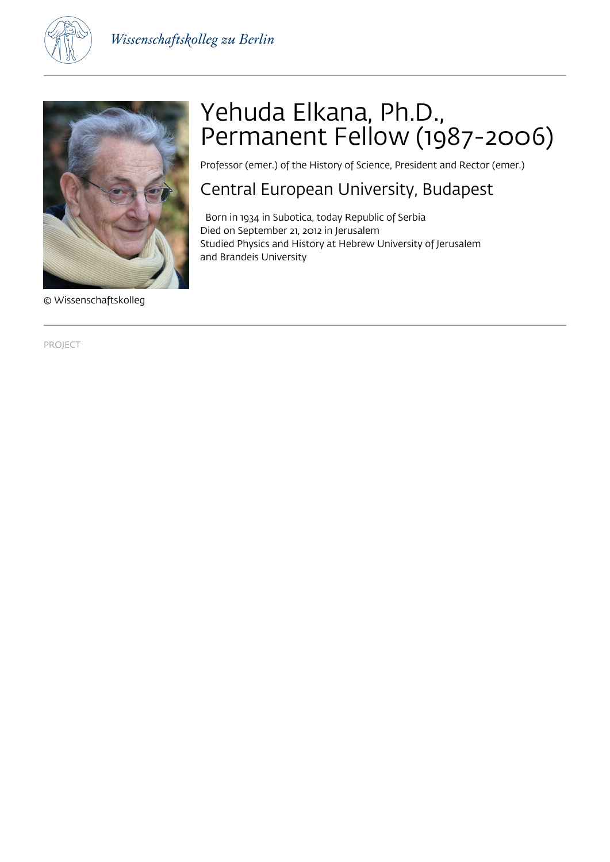

Wissenschaftskolleg zu Berlin



# © Wissenschaftskolleg

# Yehuda Elkana, Ph.D., Permanent Fellow (1987-2006)

Professor (emer.) of the History of Science, President and Rector (emer.)

## Central European University, Budapest

 Born in 1934 in Subotica, today Republic of Serbia Died on September 21, 2012 in Jerusalem Studied Physics and History at Hebrew University of Jerusalem and Brandeis University

PROJECT